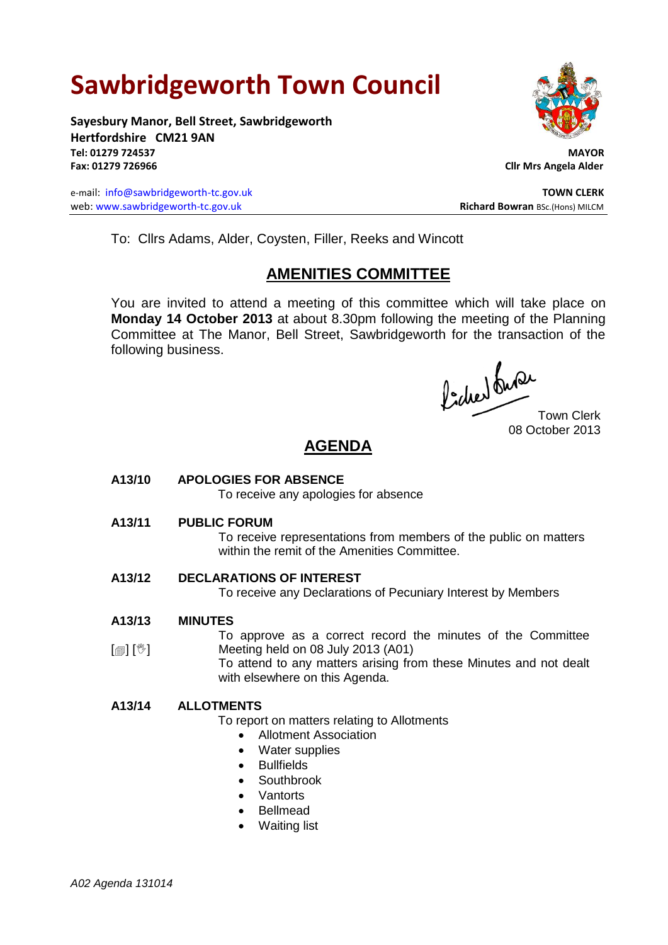# **Sawbridgeworth Town Council**

**Sayesbury Manor, Bell Street, Sawbridgeworth Hertfordshire CM21 9AN Tel: 01279 724537 MAYOR Fax: 01279 726966 Cllr Mrs Angela Alder**

e-mail: [info@sawbridgeworth-tc.gov.uk](mailto:info@sawbridgeworth-tc.gov.uk) **TOWN CLERK** web: www.sawbridgeworth-tc.gov.uk **Richard Bowran** BSc.(Hons) MILCM



To: Cllrs Adams, Alder, Coysten, Filler, Reeks and Wincott

# **AMENITIES COMMITTEE**

You are invited to attend a meeting of this committee which will take place on **Monday 14 October 2013** at about 8.30pm following the meeting of the Planning Committee at The Manor, Bell Street, Sawbridgeworth for the transaction of the following business.

fided ture

08 October 2013

# **AGENDA**

# **A13/10 APOLOGIES FOR ABSENCE**

To receive any apologies for absence

**A13/11 PUBLIC FORUM**

To receive representations from members of the public on matters within the remit of the Amenities Committee.

# **A13/12 DECLARATIONS OF INTEREST**

To receive any Declarations of Pecuniary Interest by Members

#### **A13/13 MINUTES**

 $[\circledast]$   $[\circledast]$ To approve as a correct record the minutes of the Committee Meeting held on 08 July 2013 (A01)

To attend to any matters arising from these Minutes and not dealt with elsewhere on this Agenda.

# **A13/14 ALLOTMENTS**

To report on matters relating to Allotments

- Allotment Association
- Water supplies
- Bullfields
- Southbrook
- Vantorts
- Bellmead
- Waiting list